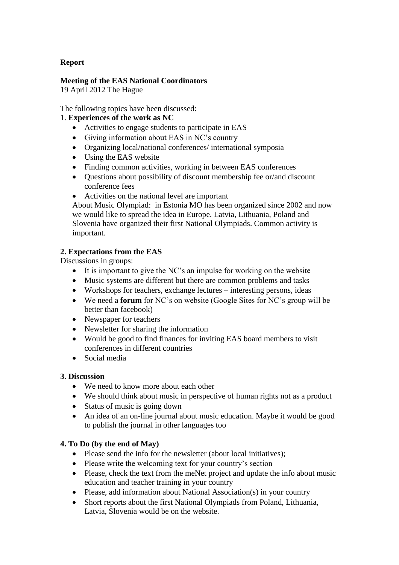# **Report**

### **Meeting of the EAS National Coordinators**

19 April 2012 The Hague

The following topics have been discussed:

## 1. **Experiences of the work as NC**

- Activities to engage students to participate in EAS
- Giving information about EAS in NC's country
- Organizing local/national conferences/ international symposia
- Using the EAS website
- Finding common activities, working in between EAS conferences
- Questions about possibility of discount membership fee or/and discount conference fees
- Activities on the national level are important

About Music Olympiad: in Estonia MO has been organized since 2002 and now we would like to spread the idea in Europe. Latvia, Lithuania, Poland and Slovenia have organized their first National Olympiads. Common activity is important.

## **2. Expectations from the EAS**

Discussions in groups:

- It is important to give the NC's an impulse for working on the website
- Music systems are different but there are common problems and tasks
- Workshops for teachers, exchange lectures interesting persons, ideas
- We need a **forum** for NC's on website (Google Sites for NC's group will be better than facebook)
- Newspaper for teachers
- Newsletter for sharing the information
- Would be good to find finances for inviting EAS board members to visit conferences in different countries
- Social media

### **3. Discussion**

- We need to know more about each other
- We should think about music in perspective of human rights not as a product
- Status of music is going down
- An idea of an on-line journal about music education. Maybe it would be good to publish the journal in other languages too

# **4. To Do (by the end of May)**

- Please send the info for the newsletter (about local initiatives);
- Please write the welcoming text for your country's section
- Please, check the text from the meNet project and update the info about music education and teacher training in your country
- Please, add information about National Association(s) in your country
- Short reports about the first National Olympiads from Poland, Lithuania, Latvia, Slovenia would be on the website.